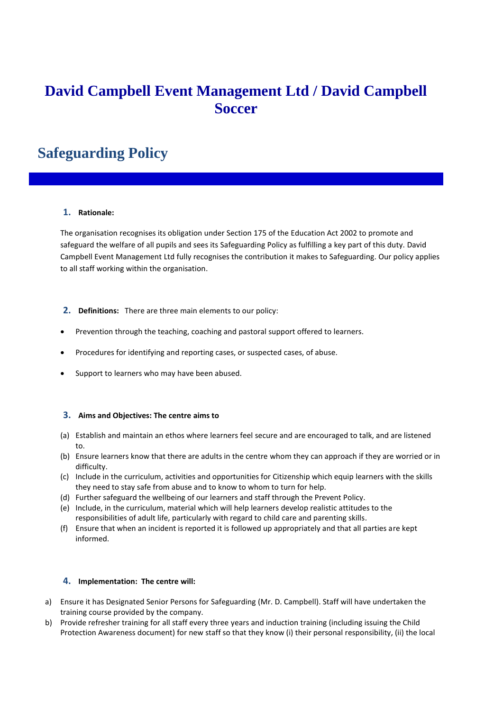# **David Campbell Event Management Ltd / David Campbell Soccer**

# **Safeguarding Policy**

## **1. Rationale:**

The organisation recognises its obligation under Section 175 of the Education Act 2002 to promote and safeguard the welfare of all pupils and sees its Safeguarding Policy as fulfilling a key part of this duty. David Campbell Event Management Ltd fully recognises the contribution it makes to Safeguarding. Our policy applies to all staff working within the organisation.

- **2. Definitions:** There are three main elements to our policy:
- Prevention through the teaching, coaching and pastoral support offered to learners.
- Procedures for identifying and reporting cases, or suspected cases, of abuse.
- Support to learners who may have been abused.

## **3. Aims and Objectives: The centre aims to**

- (a) Establish and maintain an ethos where learners feel secure and are encouraged to talk, and are listened to.
- (b) Ensure learners know that there are adults in the centre whom they can approach if they are worried or in difficulty.
- (c) Include in the curriculum, activities and opportunities for Citizenship which equip learners with the skills they need to stay safe from abuse and to know to whom to turn for help.
- (d) Further safeguard the wellbeing of our learners and staff through the Prevent Policy.
- (e) Include, in the curriculum, material which will help learners develop realistic attitudes to the responsibilities of adult life, particularly with regard to child care and parenting skills.
- (f) Ensure that when an incident is reported it is followed up appropriately and that all parties are kept informed.

## **4. Implementation: The centre will:**

- a) Ensure it has Designated Senior Persons for Safeguarding (Mr. D. Campbell). Staff will have undertaken the training course provided by the company.
- b) Provide refresher training for all staff every three years and induction training (including issuing the Child Protection Awareness document) for new staff so that they know (i) their personal responsibility, (ii) the local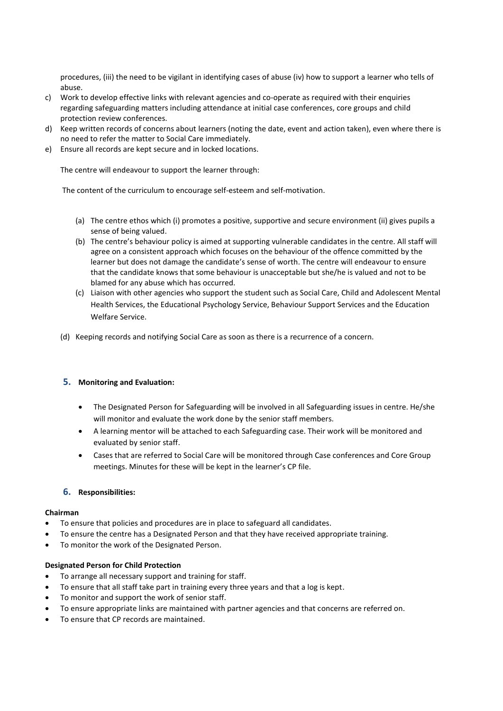procedures, (iii) the need to be vigilant in identifying cases of abuse (iv) how to support a learner who tells of abuse.

- c) Work to develop effective links with relevant agencies and co-operate as required with their enquiries regarding safeguarding matters including attendance at initial case conferences, core groups and child protection review conferences.
- d) Keep written records of concerns about learners (noting the date, event and action taken), even where there is no need to refer the matter to Social Care immediately.
- e) Ensure all records are kept secure and in locked locations.

The centre will endeavour to support the learner through:

The content of the curriculum to encourage self-esteem and self-motivation.

- (a) The centre ethos which (i) promotes a positive, supportive and secure environment (ii) gives pupils a sense of being valued.
- (b) The centre's behaviour policy is aimed at supporting vulnerable candidates in the centre. All staff will agree on a consistent approach which focuses on the behaviour of the offence committed by the learner but does not damage the candidate's sense of worth. The centre will endeavour to ensure that the candidate knows that some behaviour is unacceptable but she/he is valued and not to be blamed for any abuse which has occurred.
- (c) Liaison with other agencies who support the student such as Social Care, Child and Adolescent Mental Health Services, the Educational Psychology Service, Behaviour Support Services and the Education Welfare Service.
- (d) Keeping records and notifying Social Care as soon as there is a recurrence of a concern.

## **5. Monitoring and Evaluation:**

- The Designated Person for Safeguarding will be involved in all Safeguarding issues in centre. He/she will monitor and evaluate the work done by the senior staff members.
- A learning mentor will be attached to each Safeguarding case. Their work will be monitored and evaluated by senior staff.
- Cases that are referred to Social Care will be monitored through Case conferences and Core Group meetings. Minutes for these will be kept in the learner's CP file.

## **6. Responsibilities:**

## **Chairman**

- To ensure that policies and procedures are in place to safeguard all candidates.
- To ensure the centre has a Designated Person and that they have received appropriate training.
- To monitor the work of the Designated Person.

## **Designated Person for Child Protection**

- To arrange all necessary support and training for staff.
- To ensure that all staff take part in training every three years and that a log is kept.
- To monitor and support the work of senior staff.
- To ensure appropriate links are maintained with partner agencies and that concerns are referred on.
- To ensure that CP records are maintained.